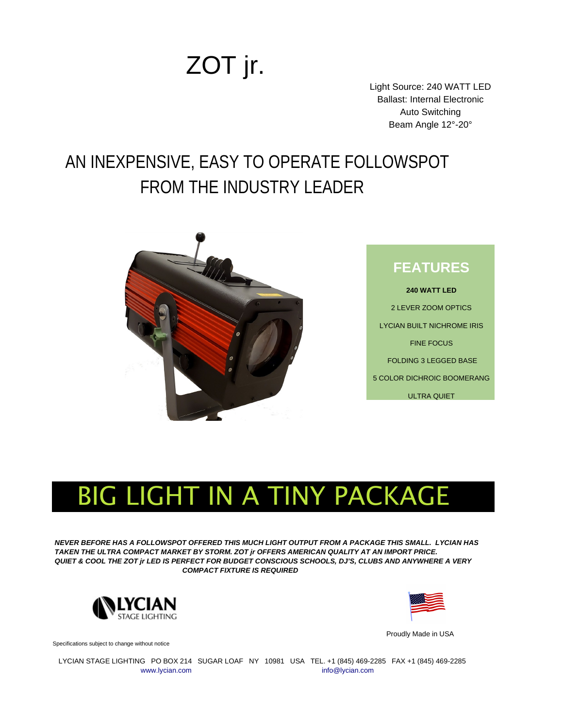## ZOT jr.

Light Source: 240 WATT LED Ballast: Internal Electronic Auto Switching Beam Angle 12°-20°

## AN INEXPENSIVE, EASY TO OPERATE FOLLOWSPOT FROM THE INDUSTRY LEADER



## BIG LIGHT IN A TINY PACKAGE

*NEVER BEFORE HAS A FOLLOWSPOT OFFERED THIS MUCH LIGHT OUTPUT FROM A PACKAGE THIS SMALL. LYCIAN HAS TAKEN THE ULTRA COMPACT MARKET BY STORM. ZOT jr OFFERS AMERICAN QUALITY AT AN IMPORT PRICE. QUIET & COOL THE ZOT jr LED IS PERFECT FOR BUDGET CONSCIOUS SCHOOLS, DJ'S, CLUBS AND ANYWHERE A VERY COMPACT FIXTURE IS REQUIRED*



Specifications subject to change without notice



Proudly Made in USA

 LYCIAN STAGE LIGHTING PO BOX 214 SUGAR LOAF NY 10981 USA TEL. +1 (845) 469-2285 FAX +1 (845) 469-2285 [www.lycian.com](http://www.lycian.com/) [info@lycian.com](mailto:info@lycian.com) info@lycian.com